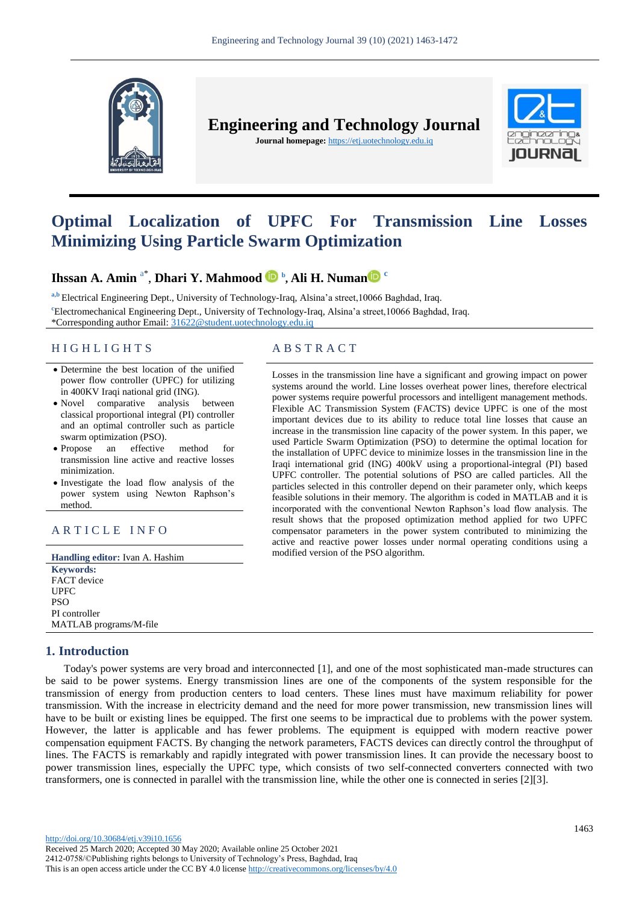

**Engineering and Technology Journal Journal homepage:** https://etj.uotechnology.edu.iq



# **Optimal Localization of UPFC For Transmission Line Losses Minimizing Using Particle Swarm Optimization**

# **Ihssan A. Amin** a\* , **Dhari Y. Mahmood <sup>b</sup> , Ali H. Numan <sup>c</sup>**

a,b Electrical Engineering Dept., University of Technology-Iraq, Alsina'a street, 10066 Baghdad, Iraq. **<sup>c</sup>**Electromechanical Engineering Dept., University of Technology-Iraq, Alsina'a street,10066 Baghdad, Iraq. \*Corresponding author Email: [31622@student.uotechnology.edu.iq](file:///C:/Users/dell/Downloads/31622@student.uotechnology.edu.iq)

## H I G H L I G H T S A B S T R A C T

- Determine the best location of the unified power flow controller (UPFC) for utilizing in 400KV Iraqi national grid (ING).
- Novel comparative analysis between classical proportional integral (PI) controller and an optimal controller such as particle swarm optimization (PSO).
- Propose an effective method for transmission line active and reactive losses minimization.
- Investigate the load flow analysis of the power system using Newton Raphson's method.

# ARTICLE INFO

**Handling editor:** Ivan A. Hashim **Keywords:** FACT device UPFC PSO PI controller MATLAB programs/M-file

# **1. Introduction**

Losses in the transmission line have a significant and growing impact on power systems around the world. Line losses overheat power lines, therefore electrical power systems require powerful processors and intelligent management methods. Flexible AC Transmission System (FACTS) device UPFC is one of the most important devices due to its ability to reduce total line losses that cause an increase in the transmission line capacity of the power system. In this paper, we used Particle Swarm Optimization (PSO) to determine the optimal location for the installation of UPFC device to minimize losses in the transmission line in the Iraqi international grid (ING) 400kV using a proportional-integral (PI) based UPFC controller. The potential solutions of PSO are called particles. All the particles selected in this controller depend on their parameter only, which keeps feasible solutions in their memory. The algorithm is coded in MATLAB and it is incorporated with the conventional Newton Raphson's load flow analysis. The result shows that the proposed optimization method applied for two UPFC compensator parameters in the power system contributed to minimizing the active and reactive power losses under normal operating conditions using a modified version of the PSO algorithm.

Today's power systems are very broad and interconnected [1], and one of the most sophisticated man-made structures can be said to be power systems. Energy transmission lines are one of the components of the system responsible for the transmission of energy from production centers to load centers. These lines must have maximum reliability for power transmission. With the increase in electricity demand and the need for more power transmission, new transmission lines will have to be built or existing lines be equipped. The first one seems to be impractical due to problems with the power system. However, the latter is applicable and has fewer problems. The equipment is equipped with modern reactive power compensation equipment FACTS. By changing the network parameters, FACTS devices can directly control the throughput of lines. The FACTS is remarkably and rapidly integrated with power transmission lines. It can provide the necessary boost to power transmission lines, especially the UPFC type, which consists of two self-connected converters connected with two transformers, one is connected in parallel with the transmission line, while the other one is connected in series [2][3].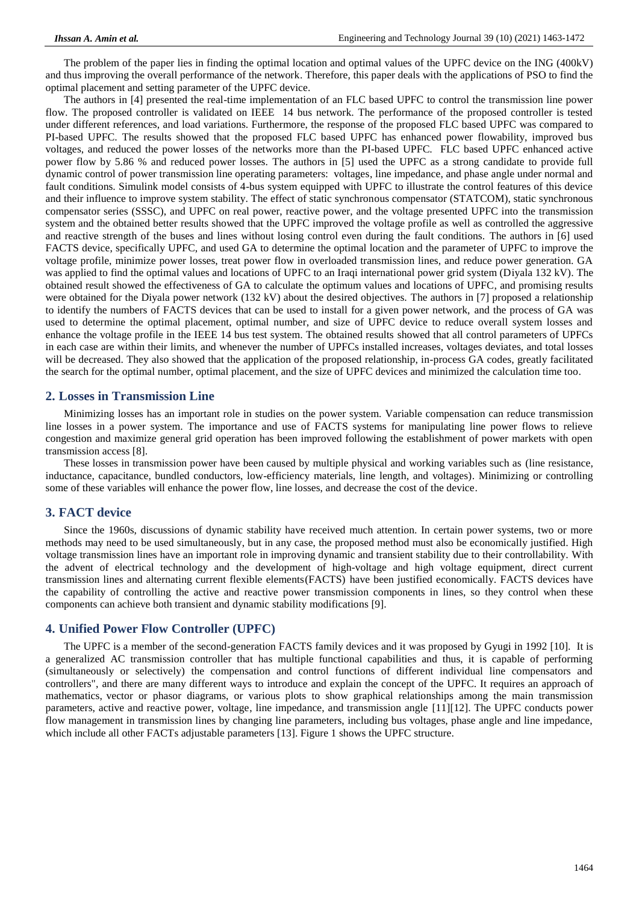The problem of the paper lies in finding the optimal location and optimal values of the UPFC device on the ING (400kV) and thus improving the overall performance of the network. Therefore, this paper deals with the applications of PSO to find the optimal placement and setting parameter of the UPFC device.

The authors in [4] presented the real-time implementation of an FLC based UPFC to control the transmission line power flow. The proposed controller is validated on IEEE 14 bus network. The performance of the proposed controller is tested under different references, and load variations. Furthermore, the response of the proposed FLC based UPFC was compared to PI-based UPFC. The results showed that the proposed FLC based UPFC has enhanced power flowability, improved bus voltages, and reduced the power losses of the networks more than the PI-based UPFC. FLC based UPFC enhanced active power flow by 5.86 % and reduced power losses. The authors in [5] used the UPFC as a strong candidate to provide full dynamic control of power transmission line operating parameters: voltages, line impedance, and phase angle under normal and fault conditions. Simulink model consists of 4-bus system equipped with UPFC to illustrate the control features of this device and their influence to improve system stability. The effect of static synchronous compensator (STATCOM), static synchronous compensator series (SSSC), and UPFC on real power, reactive power, and the voltage presented UPFC into the transmission system and the obtained better results showed that the UPFC improved the voltage profile as well as controlled the aggressive and reactive strength of the buses and lines without losing control even during the fault conditions. The authors in [6] used FACTS device, specifically UPFC, and used GA to determine the optimal location and the parameter of UPFC to improve the voltage profile, minimize power losses, treat power flow in overloaded transmission lines, and reduce power generation. GA was applied to find the optimal values and locations of UPFC to an Iraqi international power grid system (Diyala 132 kV). The obtained result showed the effectiveness of GA to calculate the optimum values and locations of UPFC, and promising results were obtained for the Diyala power network (132 kV) about the desired objectives. The authors in [7] proposed a relationship to identify the numbers of FACTS devices that can be used to install for a given power network, and the process of GA was used to determine the optimal placement, optimal number, and size of UPFC device to reduce overall system losses and enhance the voltage profile in the IEEE 14 bus test system. The obtained results showed that all control parameters of UPFCs in each case are within their limits, and whenever the number of UPFCs installed increases, voltages deviates, and total losses will be decreased. They also showed that the application of the proposed relationship, in-process GA codes, greatly facilitated the search for the optimal number, optimal placement, and the size of UPFC devices and minimized the calculation time too.

#### **2. Losses in Transmission Line**

Minimizing losses has an important role in studies on the power system. Variable compensation can reduce transmission line losses in a power system. The importance and use of FACTS systems for manipulating line power flows to relieve congestion and maximize general grid operation has been improved following the establishment of power markets with open transmission access [8].

These losses in transmission power have been caused by multiple physical and working variables such as ( line resistance, inductance, capacitance, bundled conductors, low-efficiency materials, line length, and voltages)). Minimizing or controlling some of these variables will enhance the power flow, line losses, and decrease the cost of the device.

# **3. FACT device**

Since the 1960s, discussions of dynamic stability have received much attention. In certain power systems, two or more methods may need to be used simultaneously, but in any case, the proposed method must also be economically justified. High voltage transmission lines have an important role in improving dynamic and transient stability due to their controllability. With the advent of electrical technology and the development of high-voltage and high voltage equipment, direct current transmission lines and alternating current flexible elements(FACTS) have been justified economically. FACTS devices have the capability of controlling the active and reactive power transmission components in lines, so they control when these components can achieve both transient and dynamic stability modifications [9].

#### **4. Unified Power Flow Controller (UPFC)**

The UPFC is a member of the second-generation FACTS family devices and it was proposed by Gyugi in 1992 [10]. It is a generalized AC transmission controller that has multiple functional capabilities and thus, it is capable of performing (simultaneously or selectively) the compensation and control functions of different individual line compensators and controllers", and there are many different ways to introduce and explain the concept of the UPFC. It requires an approach of mathematics, vector or phasor diagrams, or various plots to show graphical relationships among the main transmission parameters, active and reactive power, voltage, line impedance, and transmission angle  $[11][12]$ . The UPFC conducts power flow management in transmission lines by changing line parameters, including bus voltages, phase angle and line impedance, which include all other FACTs adjustable parameters [13]. Figure 1 shows the UPFC structure.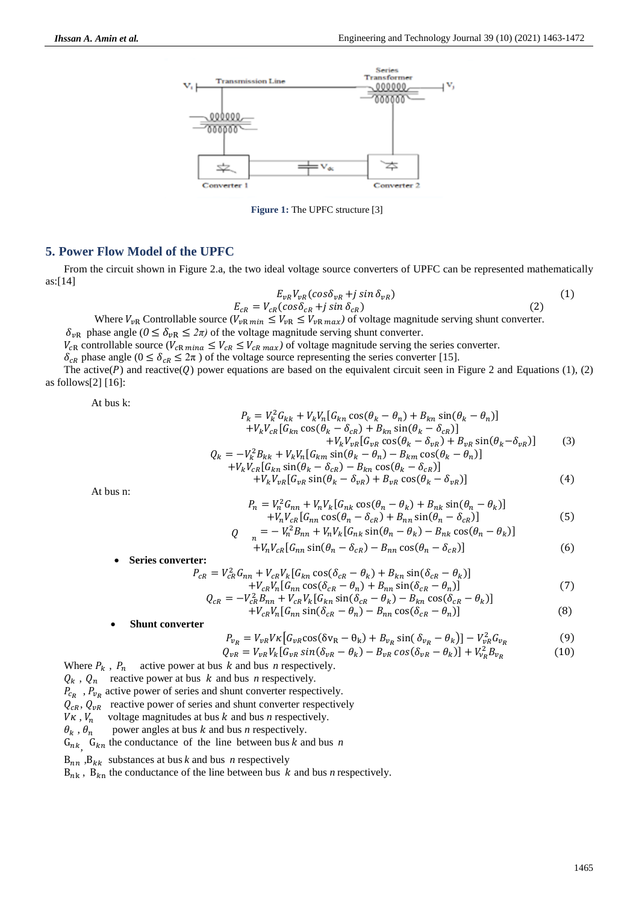

**Figure 1:** The UPFC structure [3]

#### **5. Power Flow Model of the UPFC**

From the circuit shown in Figure 2.a, the two ideal voltage source converters of UPFC can be represented mathematically as:[14]

$$
E_{vR}V_{vR}(cos\delta_{vR} + j sin \delta_{vR})
$$
  
\n
$$
E_{cR} = V_{cR}(cos\delta_{cR} + j sin \delta_{cR})
$$
\n(1)

Where  $V_{\nu R}$  Controllable source  $(V_{\nu R \text{ min}} \leq V_{\nu R} \leq V_{\nu R \text{ max}})$  of voltage magnitude serving shunt converter.  $\delta_{vR}$  phase angle ( $0 \le \delta_{vR} \le 2\pi$ ) of the voltage magnitude serving shunt converter.

 $V_{cR}$  controllable source ( $V_{cR}$   $m_{iR} \leq V_{cR}$   $m_{iR}$ ) of voltage magnitude serving the series converter.

 $\delta_{CR}$  phase angle ( $0 \le \delta_{CR} \le 2\pi$ ) of the voltage source representing the series converter [15].

The active( $P$ ) and reactive( $Q$ ) power equations are based on the equivalent circuit seen in Figure 2 and Equations (1), (2) as follows[2]  $[16]$ :

At bus k:

$$
P_k = V_k^2 G_{kk} + V_k V_n [G_{kn} \cos(\theta_k - \theta_n) + B_{kn} \sin(\theta_k - \theta_n)]
$$
  
+ 
$$
V_k V_{cR} [G_{kn} \cos(\theta_k - \delta_{cR}) + B_{kn} \sin(\theta_k - \delta_{cR})]
$$
  
+ 
$$
V_k V_{vR} [G_{vr} \cos(\theta_k - \delta_{vr}) + B_{vr} \sin(\theta_k - \delta_{vR})]
$$
  

$$
Q_k = -V_k^2 B_{kk} + V_k V_n [G_{km} \sin(\theta_k - \theta_n) - B_{km} \cos(\theta_k - \theta_n)]
$$
  
+ 
$$
V_k V_{cR} [G_{kn} \sin(\theta_k - \delta_{cR}) - B_{kn} \cos(\theta_k - \delta_{cR})]
$$
  
+ 
$$
V_k V_{vR} [G_{vr} \sin(\theta_k - \delta_{vr}) + B_{vr} \cos(\theta_k - \delta_{vr})]
$$
  
(4)

At bus n:

$$
P_n = V_n^2 G_{nn} + V_n V_k [G_{nk} \cos(\theta_n - \theta_k) + B_{nk} \sin(\theta_n - \theta_k)]
$$
  
+ 
$$
V_n V_{CR} [G_{nn} \cos(\theta_n - \delta_{CR}) + B_{nn} \sin(\theta_n - \delta_{CR})]
$$
 (5)

$$
Q_{n} = -V_{n}^{2}B_{nn} + V_{n}V_{k}[G_{nk}\sin(\theta_{n} - \theta_{k}) - B_{nk}\cos(\theta_{n} - \theta_{k})]
$$

$$
+V_n V_{cR} [G_{nn} \sin(\theta_n - \delta_{cR}) - B_{nn} \cos(\theta_n - \delta_{cR})]
$$
\n(6)

**Series converter:**

$$
P_{CR} = V_{CR}^2 G_{nn} + V_{CR} V_k [G_{kn} \cos(\delta_{CR} - \theta_k) + B_{kn} \sin(\delta_{CR} - \theta_k)] + V_{CR} V_n [G_{nn} \cos(\delta_{CR} - \theta_n) + B_{nn} \sin(\delta_{CR} - \theta_n)]
$$
  

$$
Q_{CR} = -V_{CR}^2 B_{nn} + V_{CR} V_k [G_{kn} \sin(\delta_{CR} - \theta_k) - B_{kn} \cos(\delta_{CR} - \theta_k)]
$$
(7)

$$
+V_{CR}V_{n}[\mathcal{G}_{nn} \sin(\delta_{CR} - \theta_{n}) - B_{nn} \cos(\delta_{CR} - \theta_{n})]
$$
\n(8)

#### **Shunt converter**

$$
P_{v_R} = V_{vR} V \kappa \left[ G_{vR} \cos(\delta v_R - \theta_k) + B_{v_R} \sin(\delta_{v_R} - \theta_k) \right] - V_{vR}^2 G_{v_R}
$$
(9)

$$
Q_{vR} = V_{vR} V_k [G_{vR} \sin(\delta_{vR} - \theta_k) - B_{vR} \cos(\delta_{vR} - \theta_k)] + V_{vR}^2 B_{vR}
$$
(10)

Where  $P_k$ ,  $P_n$  active power at bus  $k$  and bus  $n$  respectively.

 $Q_k$ ,  $Q_n$  reactive power at bus *k* and bus *n* respectively.

 $P_{cp}$ ,  $P_{vp}$  active power of series and shunt converter respectively.

 $Q_{cR}$ ,  $Q_{vR}$  reactive power of series and shunt converter respectively  $V_K$ .  $V_n$  voltage magnitudes at bus k and bus n respectively.

voltage magnitudes at bus  $k$  and bus  $n$  respectively.

 $\theta_k$ ,  $\theta_n$  power angles at bus *k* and bus *n* respectively.

 $G_{nk}$ ,  $G_{kn}$  the conductance of the line between bus *k* and bus *n* 

 $B_{nn}$ ,  $B_{kk}$  substances at bus *k* and bus *n* respectively

 $B_{nk}$ ,  $B_{kn}$  the conductance of the line between bus k and bus *n* respectively.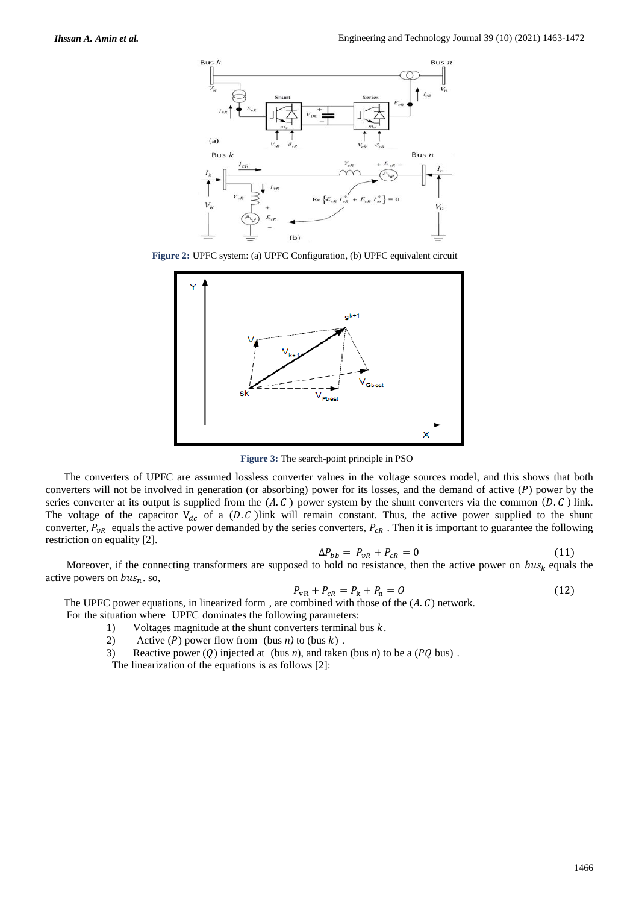

**Figure 2:** UPFC system: (a) UPFC Configuration, (b) UPFC equivalent circuit



**Figure 3:** The search-point principle in PSO

The converters of UPFC are assumed lossless converter values in the voltage sources model, and this shows that both converters will not be involved in generation (or absorbing) power for its losses, and the demand of active  $(P)$  power by the series converter at its output is supplied from the  $(A, C)$  power system by the shunt converters via the common  $(D, C)$  link. The voltage of the capacitor  $V_{dc}$  of a (D.C) link will remain constant. Thus, the active power supplied to the shunt converter,  $P_{vR}$  equals the active power demanded by the series converters,  $P_{cR}$ . Then it is important to guarantee the following restriction on equality [2].

$$
\Delta P_{bb} = P_{vR} + P_{cR} = 0 \tag{11}
$$

Moreover, if the connecting transformers are supposed to hold no resistance, then the active power on  $bus_k$  equals the active powers on  $bus_n$ . so,

$$
P_{vR} + P_{cR} = P_k + P_n = 0 \tag{12}
$$

The UPFC power equations, in linearized form, are combined with those of the  $(A, C)$  network.

For the situation where UPFC dominates the following parameters:

- 1) Voltages magnitude at the shunt converters terminal bus  $k$ .
- 2) Active  $(P)$  power flow from (bus *n*) to (bus  $k$ ).
- 3) Reactive power (Q) injected at (bus *n*), and taken (bus *n*) to be a ( $PQ$  bus).

The linearization of the equations is as follows [2]: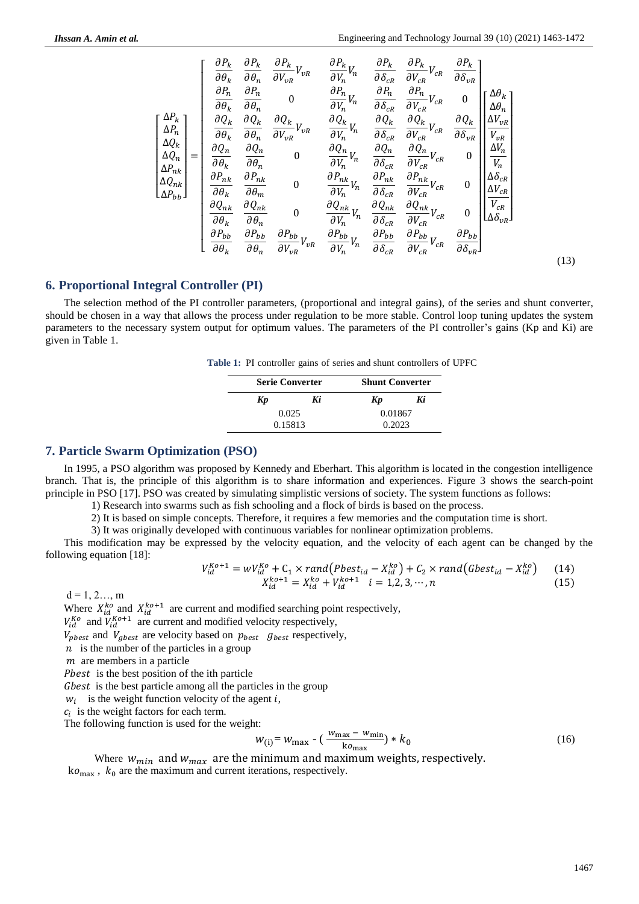$$
\begin{bmatrix}\n\Delta P_k \\
\frac{\partial P_k}{\partial \theta_h} & \frac{\partial P_k}{\partial \theta_n} & \frac{\partial P_k}{\partial V_{\nu R}} V_{\nu R} & \frac{\partial P_k}{\partial V_h} V_h & \frac{\partial P_k}{\partial \delta_{CR}} & \frac{\partial P_k}{\partial V_{CR}} V_{CR} & \frac{\partial P_k}{\partial \delta_{\nu R}} \\
\frac{\partial P_n}{\partial \theta_h} & \frac{\partial P_n}{\partial \theta_n} & 0 & \frac{\partial P_n}{\partial V_h} V_h & \frac{\partial P_n}{\partial \delta_{CR}} & \frac{\partial P_n}{\partial V_{CR}} V_{CR} & 0 \\
\frac{\Delta Q_k}{\Delta Q_k} & \frac{\partial Q_k}{\partial \theta_k} & \frac{\partial Q_k}{\partial \theta_n} & \frac{\partial Q_k}{\partial V_{\nu R}} V_{\nu R} & \frac{\partial Q_k}{\partial V_h} V_h & \frac{\partial Q_k}{\partial \delta_{CR}} & \frac{\partial Q_k}{\partial V_{CR}} & \frac{\partial Q_k}{\partial \delta_{\nu R}} \\
\frac{\Delta Q_n}{\Delta P_{nk}} & \frac{\partial Q_n}{\partial \theta_k} & \frac{\partial Q_n}{\partial \theta_n} & 0 & \frac{\partial Q_n}{\partial V_n} V_n & \frac{\partial Q_n}{\partial \delta_{CR}} & \frac{\partial Q_n}{\partial V_{CR}} V_{CR} & 0 \\
\frac{\partial P_{nk}}{\partial \theta_k} & \frac{\partial P_{nk}}{\partial \theta_m} & 0 & \frac{\partial P_{nk}}{\partial V_h} V_h & \frac{\partial P_{nk}}{\partial \delta_{CR}} & \frac{\partial P_{nk}}{\partial V_{CR}} V_{CR} & 0 \\
\frac{\partial Q_{nk}}{\partial \theta_k} & \frac{\partial Q_{nk}}{\partial \theta_n} & 0 & \frac{\partial Q_{nk}}{\partial V_h} V_h & \frac{\partial Q_{nk}}{\partial \delta_{CR}} & \frac{\partial Q_{nk}}{\partial V_{CR}} V_{CR} & 0 \\
\frac{\partial P_{bb}}{\partial \theta_k} & \frac{\partial P_{bb}}{\partial \theta_n} & \frac{\partial P_{bb}}{\partial V_{\nu R}} V_{\nu R} & \frac{\partial P_{bb}}{\partial V_h} V_h & \frac{\partial P_{bb}}{\partial \delta_{CR}} & \frac{\partial P_{bb}}{\partial V_{CR}} V_{CR} & \frac{\partial P_{bb}}{\partial \delta_{\nu R}} \end{bmatrix}
$$
\n(13)

#### **6. Proportional Integral Controller (PI)**

The selection method of the PI controller parameters, (proportional and integral gains), of the series and shunt converter, should be chosen in a way that allows the process under regulation to be more stable. Control loop tuning updates the system parameters to the necessary system output for optimum values. The parameters of the PI controller's gains (Kp and Ki) are given in Table 1.

**Table 1:** PI controller gains of series and shunt controllers of UPFC

| <b>Serie Converter</b> |    | <b>Shunt Converter</b> |    |  |  |
|------------------------|----|------------------------|----|--|--|
| Kp                     | Ki | Kp                     | Ki |  |  |
| 0.025                  |    | 0.01867                |    |  |  |
| 0.15813                |    | 0.2023                 |    |  |  |

#### **7. Particle Swarm Optimization (PSO)**

In 1995, a PSO algorithm was proposed by Kennedy and Eberhart. This algorithm is located in the congestion intelligence branch. That is, the principle of this algorithm is to share information and experiences. Figure 3 shows the search-point principle in PSO [17]. PSO was created by simulating simplistic versions of society. The system functions as follows:

1) Research into swarms such as fish schooling and a flock of birds is based on the process.

2) It is based on simple concepts. Therefore, it requires a few memories and the computation time is short.

3) It was originally developed with continuous variables for nonlinear optimization problems.

This modification may be expressed by the velocity equation, and the velocity of each agent can be changed by the following equation [18]:

$$
V_{id}^{Ko+1} = wV_{id}^{Ko} + C_1 \times rand(Pbest_{id} - X_{id}^{ko}) + C_2 \times rand(Gbest_{id} - X_{id}^{ko})
$$
 (14)  

$$
X_{id}^{ko+1} = X_{id}^{ko} + V_{id}^{ko+1}
$$
 1 = 1,2,3,...,n (15)

 $d = 1, 2, \ldots, m$ 

Where  $X_{id}^{ko}$  and  $X_{id}^{ko+1}$  are current and modified searching point respectively,

 $V_{id}^{K0}$  and  $V_{id}^{K0+1}$  are current and modified velocity respectively,

 $V_{\text{pbest}}$  and  $V_{\text{gbest}}$  are velocity based on  $p_{\text{best}}$  g<sub>best</sub> respectively,

 $n$  is the number of the particles in a group

 $m$  are members in a particle

Pbest is the best position of the ith particle

Gbest is the best particle among all the particles in the group

 $w_i$  is the weight function velocity of the agent i,

 $c_i$  is the weight factors for each term.

The following function is used for the weight:

$$
W_{\text{(i)}} = W_{\text{max}} - \left(\frac{w_{\text{max}} - w_{\text{min}}}{k_{\text{0}}}\right) * k_0 \tag{16}
$$

Where  $w_{min}$  and  $w_{max}$  are the minimum and maximum weights, respectively.  $ko<sub>max</sub>$ ,  $k_0$  are the maximum and current iterations, respectively.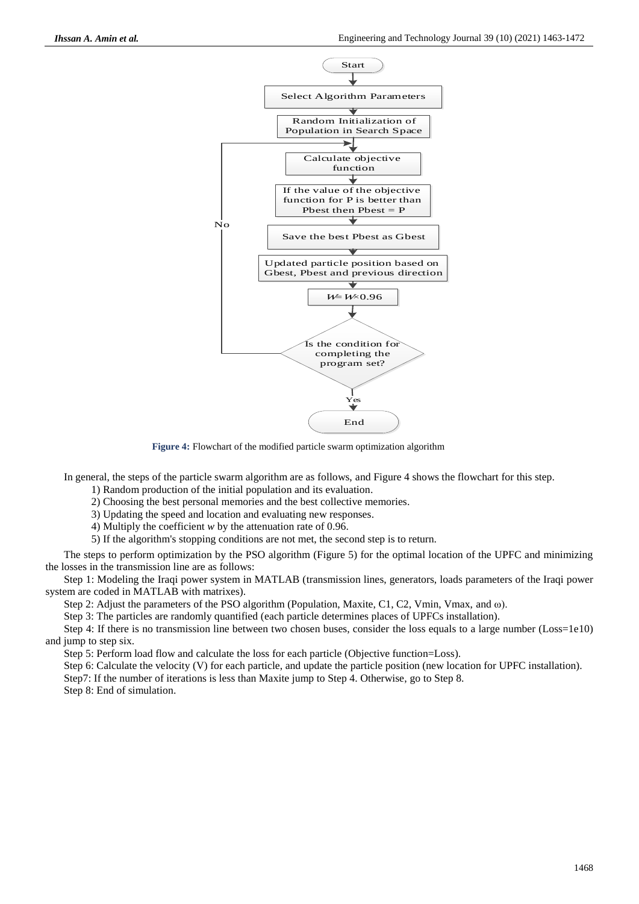

**Figure 4:** Flowchart of the modified particle swarm optimization algorithm

In general, the steps of the particle swarm algorithm are as follows, and Figure 4 shows the flowchart for this step.

- 1) Random production of the initial population and its evaluation.
- 2) Choosing the best personal memories and the best collective memories.
- 3) Updating the speed and location and evaluating new responses.

4) Multiply the coefficient *w* by the attenuation rate of 0.96.

5) If the algorithm's stopping conditions are not met, the second step is to return.

The steps to perform optimization by the PSO algorithm (Figure 5) for the optimal location of the UPFC and minimizing the losses in the transmission line are as follows:

Step 1: Modeling the Iraqi power system in MATLAB (transmission lines, generators, loads parameters of the Iraqi power system are coded in MATLAB with matrixes).

Step 2: Adjust the parameters of the PSO algorithm (Population, Maxite, C1, C2, Vmin, Vmax, and ω).

Step 3: The particles are randomly quantified (each particle determines places of UPFCs installation).

Step 4: If there is no transmission line between two chosen buses, consider the loss equals to a large number (Loss=1e10) and jump to step six.

Step 5: Perform load flow and calculate the loss for each particle (Objective function=Loss).

Step 6: Calculate the velocity (V) for each particle, and update the particle position (new location for UPFC installation).

Step7: If the number of iterations is less than Maxite jump to Step 4. Otherwise, go to Step 8.

Step 8: End of simulation.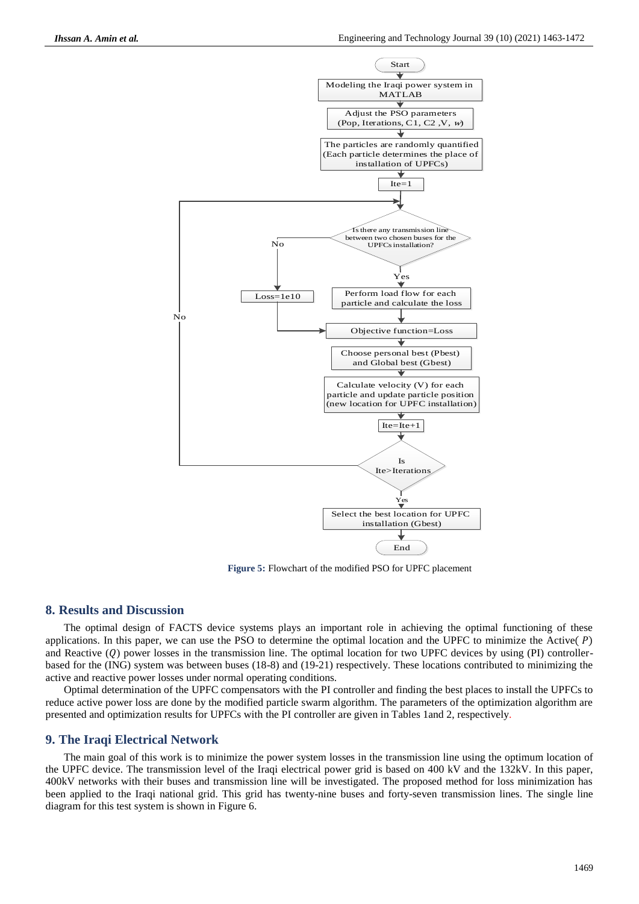

**Figure 5:** Flowchart of the modified PSO for UPFC placement

### **8. Results and Discussion**

The optimal design of FACTS device systems plays an important role in achieving the optimal functioning of these applications. In this paper, we can use the PSO to determine the optimal location and the UPFC to minimize the Active( $P$ ) and Reactive  $(Q)$  power losses in the transmission line. The optimal location for two UPFC devices by using (PI) controllerbased for the (ING) system was between buses (18-8) and (19-21) respectively. These locations contributed to minimizing the active and reactive power losses under normal operating conditions.

Optimal determination of the UPFC compensators with the PI controller and finding the best places to install the UPFCs to reduce active power loss are done by the modified particle swarm algorithm. The parameters of the optimization algorithm are presented and optimization results for UPFCs with the PI controller are given in Tables 1and 2, respectively.

#### **9. The Iraqi Electrical Network**

The main goal of this work is to minimize the power system losses in the transmission line using the optimum location of the UPFC device. The transmission level of the Iraqi electrical power grid is based on 400 kV and the 132kV. In this paper, 400kV networks with their buses and transmission line will be investigated. The proposed method for loss minimization has been applied to the Iraqi national grid. This grid has twenty-nine buses and forty-seven transmission lines. The single line diagram for this test system is shown in Figure 6.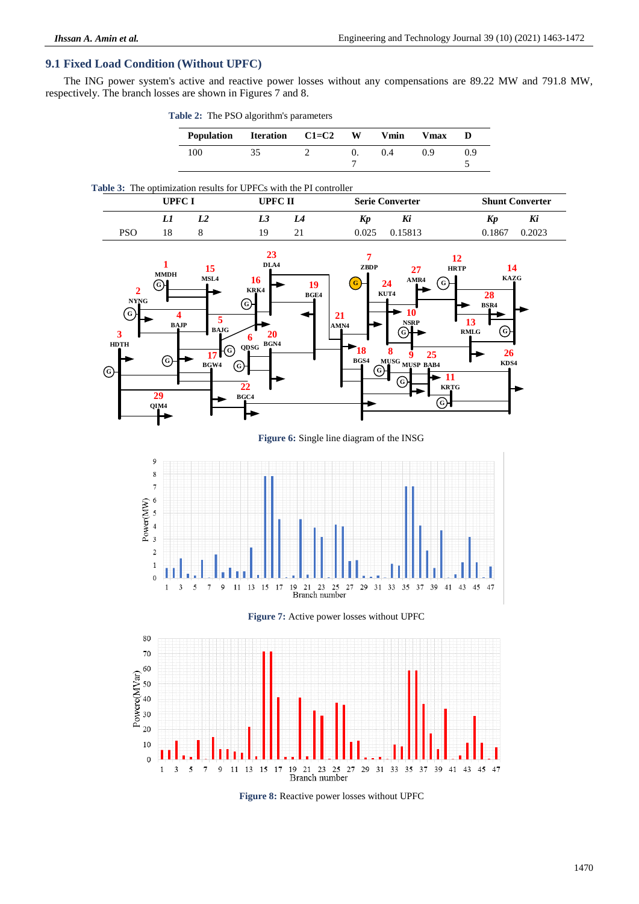# **9.1 Fixed Load Condition (Without UPFC)**

The ING power system's active and reactive power losses without any compensations are 89.22 MW and 791.8 MW, respectively. The branch losses are shown in Figures 7 and 8.

| <b>Table 2:</b> The PSO algorithm's parameters |           |   |      |    |
|------------------------------------------------|-----------|---|------|----|
| Population Iteration                           | $C1 = C2$ | W | Vmin | Vm |
|                                                |           |   |      |    |



### **Table 3:** The optimization results for UPFCs with the PI controller

|     | UPFC I<br>UPFC II |  | <b>Shunt Converter</b><br><b>Serie Converter</b> |    |       |         |        |        |
|-----|-------------------|--|--------------------------------------------------|----|-------|---------|--------|--------|
|     | IJ                |  | Ls                                               |    | Kp    | Kı      | Kp     | Ki     |
| PSO | 18                |  | 19                                               | 21 | 0.025 | 0.15813 | 0.1867 | J.2023 |



**Figure 6:** Single line diagram of the INSG







**Figure 8:** Reactive power losses without UPFC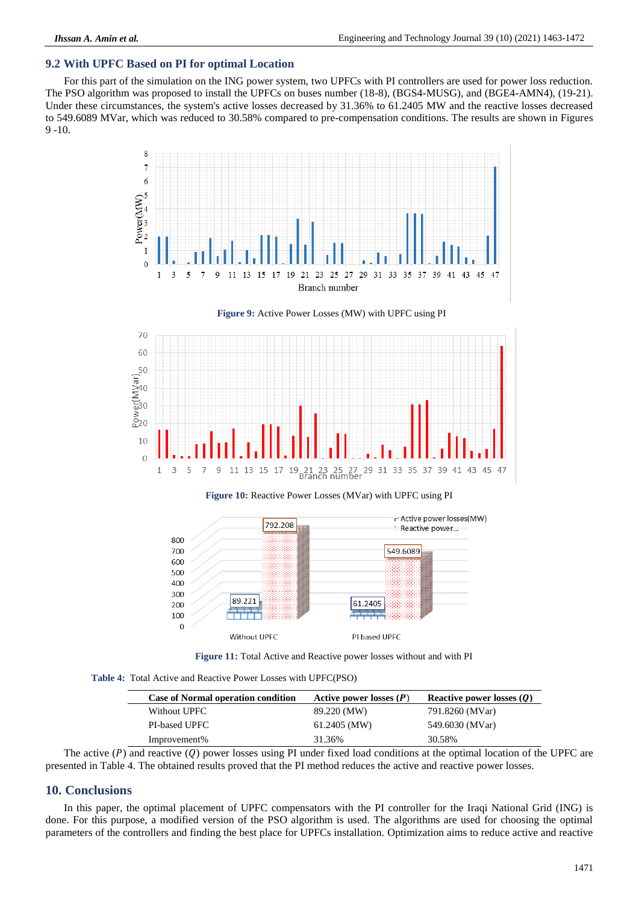# **9.2 With UPFC Based on PI for optimal Location**

For this part of the simulation on the ING power system, two UPFCs with PI controllers are used for power loss reduction. The PSO algorithm was proposed to install the UPFCs on buses number (18-8), (BGS4-MUSG), and (BGE4-AMN4), (19-21). Under these circumstances, the system's active losses decreased by 31.36% to 61.2405 MW and the reactive losses decreased to 549.6089 MVar, which was reduced to 30.58% compared to pre-compensation conditions. The results are shown in Figures 9 -10.



**Figure 9:** Active Power Losses (MW) with UPFC using PI



**Figure 10:** Reactive Power Losses (MVar) with UPFC using PI



**Figure 11:** Total Active and Reactive power losses without and with PI

**Table 4:** Total Active and Reactive Power Losses with UPFC(PSO)

| <b>Case of Normal operation condition</b> | Active power losses $(P)$ | Reactive power losses $(Q)$ |
|-------------------------------------------|---------------------------|-----------------------------|
| Without UPFC                              | 89.220 (MW)               | 791.8260 (MVar)             |
| <b>PI-based UPFC</b>                      | $61.2405$ (MW)            | 549.6030 (MVar)             |
| Improvement%                              | 31.36%                    | 30.58%                      |

The active  $(P)$  and reactive  $(Q)$  power losses using PI under fixed load conditions at the optimal location of the UPFC are presented in Table 4. The obtained results proved that the PI method reduces the active and reactive power losses.

# **10. Conclusions**

In this paper, the optimal placement of UPFC compensators with the PI controller for the Iraqi National Grid (ING) is done. For this purpose, a modified version of the PSO algorithm is used. The algorithms are used for choosing the optimal parameters of the controllers and finding the best place for UPFCs installation. Optimization aims to reduce active and reactive